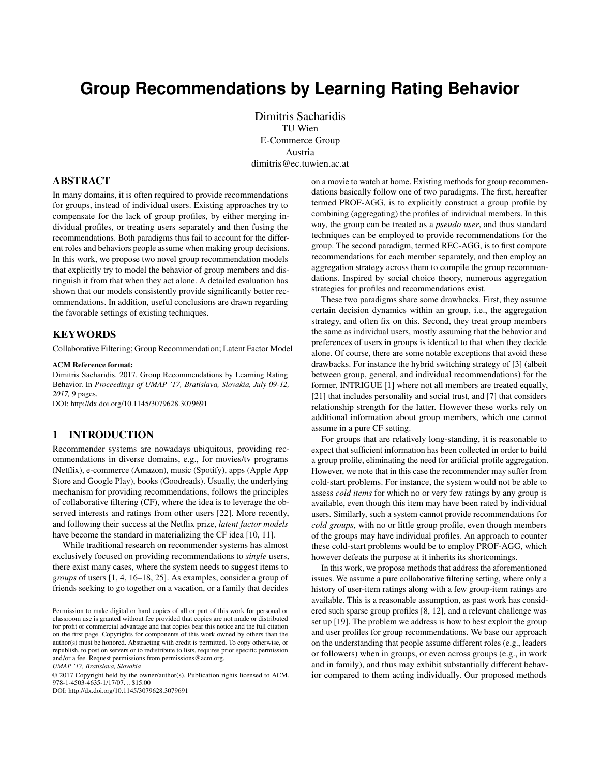# **Group Recommendations by Learning Rating Behavior**

Dimitris Sacharidis TU Wien E-Commerce Group Austria dimitris@ec.tuwien.ac.at

### ABSTRACT

In many domains, it is often required to provide recommendations for groups, instead of individual users. Existing approaches try to compensate for the lack of group profiles, by either merging individual profiles, or treating users separately and then fusing the recommendations. Both paradigms thus fail to account for the different roles and behaviors people assume when making group decisions. In this work, we propose two novel group recommendation models that explicitly try to model the behavior of group members and distinguish it from that when they act alone. A detailed evaluation has shown that our models consistently provide significantly better recommendations. In addition, useful conclusions are drawn regarding the favorable settings of existing techniques.

# **KEYWORDS**

Collaborative Filtering; Group Recommendation; Latent Factor Model

#### ACM Reference format:

Dimitris Sacharidis. 2017. Group Recommendations by Learning Rating Behavior. In *Proceedings of UMAP '17, Bratislava, Slovakia, July 09-12, 2017,* [9](#page-8-0) pages.

DOI: http://dx.doi.org/10.1145/3079628.3079691

# 1 INTRODUCTION

Recommender systems are nowadays ubiquitous, providing recommendations in diverse domains, e.g., for movies/tv programs (Netflix), e-commerce (Amazon), music (Spotify), apps (Apple App Store and Google Play), books (Goodreads). Usually, the underlying mechanism for providing recommendations, follows the principles of collaborative filtering (CF), where the idea is to leverage the observed interests and ratings from other users [\[22\]](#page-8-1). More recently, and following their success at the Netflix prize, *latent factor models* have become the standard in materializing the CF idea [\[10,](#page-8-2) [11\]](#page-8-3).

While traditional research on recommender systems has almost exclusively focused on providing recommendations to *single* users, there exist many cases, where the system needs to suggest items to *groups* of users [\[1,](#page-8-4) [4,](#page-8-5) [16](#page-8-6)[–18,](#page-8-7) [25\]](#page-8-8). As examples, consider a group of friends seeking to go together on a vacation, or a family that decides

*UMAP '17, Bratislava, Slovakia*

DOI: http://dx.doi.org/10.1145/3079628.3079691

on a movie to watch at home. Existing methods for group recommendations basically follow one of two paradigms. The first, hereafter termed PROF-AGG, is to explicitly construct a group profile by combining (aggregating) the profiles of individual members. In this way, the group can be treated as a *pseudo user*, and thus standard techniques can be employed to provide recommendations for the group. The second paradigm, termed REC-AGG, is to first compute recommendations for each member separately, and then employ an aggregation strategy across them to compile the group recommendations. Inspired by social choice theory, numerous aggregation strategies for profiles and recommendations exist.

These two paradigms share some drawbacks. First, they assume certain decision dynamics within an group, i.e., the aggregation strategy, and often fix on this. Second, they treat group members the same as individual users, mostly assuming that the behavior and preferences of users in groups is identical to that when they decide alone. Of course, there are some notable exceptions that avoid these drawbacks. For instance the hybrid switching strategy of [\[3\]](#page-8-9) (albeit between group, general, and individual recommendations) for the former, INTRIGUE [\[1\]](#page-8-4) where not all members are treated equally, [\[21\]](#page-8-10) that includes personality and social trust, and [\[7\]](#page-8-11) that considers relationship strength for the latter. However these works rely on additional information about group members, which one cannot assume in a pure CF setting.

For groups that are relatively long-standing, it is reasonable to expect that sufficient information has been collected in order to build a group profile, eliminating the need for artificial profile aggregation. However, we note that in this case the recommender may suffer from cold-start problems. For instance, the system would not be able to assess *cold items* for which no or very few ratings by any group is available, even though this item may have been rated by individual users. Similarly, such a system cannot provide recommendations for *cold groups*, with no or little group profile, even though members of the groups may have individual profiles. An approach to counter these cold-start problems would be to employ PROF-AGG, which however defeats the purpose at it inherits its shortcomings.

In this work, we propose methods that address the aforementioned issues. We assume a pure collaborative filtering setting, where only a history of user-item ratings along with a few group-item ratings are available. This is a reasonable assumption, as past work has considered such sparse group profiles [\[8,](#page-8-12) [12\]](#page-8-13), and a relevant challenge was set up [\[19\]](#page-8-14). The problem we address is how to best exploit the group and user profiles for group recommendations. We base our approach on the understanding that people assume different roles (e.g., leaders or followers) when in groups, or even across groups (e.g., in work and in family), and thus may exhibit substantially different behavior compared to them acting individually. Our proposed methods

Permission to make digital or hard copies of all or part of this work for personal or classroom use is granted without fee provided that copies are not made or distributed for profit or commercial advantage and that copies bear this notice and the full citation on the first page. Copyrights for components of this work owned by others than the author(s) must be honored. Abstracting with credit is permitted. To copy otherwise, or republish, to post on servers or to redistribute to lists, requires prior specific permission and/or a fee. Request permissions from permissions@acm.org.

<sup>©</sup> 2017 Copyright held by the owner/author(s). Publication rights licensed to ACM. 978-1-4503-4635-1/17/07. . . \$15.00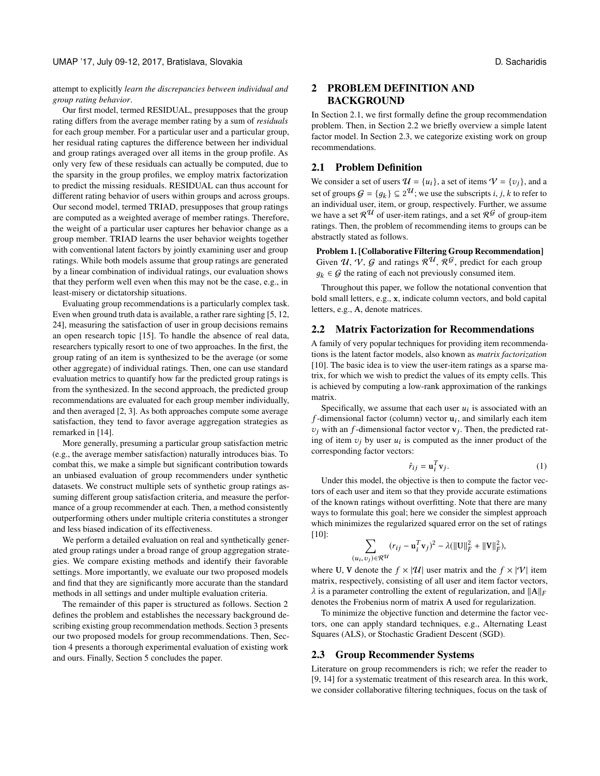attempt to explicitly *learn the discrepancies between individual and group rating behavior*.

Our first model, termed RESIDUAL, presupposes that the group rating differs from the average member rating by a sum of *residuals* for each group member. For a particular user and a particular group, her residual rating captures the difference between her individual and group ratings averaged over all items in the group profile. As only very few of these residuals can actually be computed, due to the sparsity in the group profiles, we employ matrix factorization to predict the missing residuals. RESIDUAL can thus account for different rating behavior of users within groups and across groups. Our second model, termed TRIAD, presupposes that group ratings are computed as a weighted average of member ratings. Therefore, the weight of a particular user captures her behavior change as a group member. TRIAD learns the user behavior weights together with conventional latent factors by jointly examining user and group ratings. While both models assume that group ratings are generated by a linear combination of individual ratings, our evaluation shows that they perform well even when this may not be the case, e.g., in least-misery or dictatorship situations.

Evaluating group recommendations is a particularly complex task. Even when ground truth data is available, a rather rare sighting [\[5,](#page-8-15) [12,](#page-8-13) [24\]](#page-8-16), measuring the satisfaction of user in group decisions remains an open research topic [\[15\]](#page-8-17). To handle the absence of real data, researchers typically resort to one of two approaches. In the first, the group rating of an item is synthesized to be the average (or some other aggregate) of individual ratings. Then, one can use standard evaluation metrics to quantify how far the predicted group ratings is from the synthesized. In the second approach, the predicted group recommendations are evaluated for each group member individually, and then averaged [\[2,](#page-8-18) [3\]](#page-8-9). As both approaches compute some average satisfaction, they tend to favor average aggregation strategies as remarked in [\[14\]](#page-8-19).

More generally, presuming a particular group satisfaction metric (e.g., the average member satisfaction) naturally introduces bias. To combat this, we make a simple but significant contribution towards an unbiased evaluation of group recommenders under synthetic datasets. We construct multiple sets of synthetic group ratings assuming different group satisfaction criteria, and measure the performance of a group recommender at each. Then, a method consistently outperforming others under multiple criteria constitutes a stronger and less biased indication of its effectiveness.

We perform a detailed evaluation on real and synthetically generated group ratings under a broad range of group aggregation strategies. We compare existing methods and identify their favorable settings. More importantly, we evaluate our two proposed models and find that they are significantly more accurate than the standard methods in all settings and under multiple evaluation criteria.

The remainder of this paper is structured as follows. Section [2](#page-1-0) defines the problem and establishes the necessary background describing existing group recommendation methods. Section [3](#page-2-0) presents our two proposed models for group recommendations. Then, Section [4](#page-4-0) presents a thorough experimental evaluation of existing work and ours. Finally, Section [5](#page-7-0) concludes the paper.

# <span id="page-1-0"></span>2 PROBLEM DEFINITION AND BACKGROUND

In Section [2.1,](#page-1-1) we first formally define the group recommendation problem. Then, in Section [2.2](#page-1-2) we briefly overview a simple latent factor model. In Section [2.3,](#page-1-3) we categorize existing work on group recommendations.

# <span id="page-1-1"></span>2.1 Problem Definition

We consider a set of users  $\mathcal{U} = \{u_i\}$ , a set of items  $\mathcal{V} = \{v_j\}$ , and a set of groups  $G = \{g_k\} \subseteq 2^{\mathcal{U}}$ ; we use the subscripts i, j, k to refer to an individual user item or group respectively. Further we assume an individual user, item, or group, respectively. Further, we assume we have a set  $\mathcal{R}^{\mathcal{U}}$  of user-item ratings, and a set  $\mathcal{R}^{\mathcal{G}}$  of group-item ratings. Then, the problem of recommending items to groups can be abstractly stated as follows.

#### Problem 1. [Collaborative Filtering Group Recommendation] Given  $\mathcal{U}, \mathcal{V}, \mathcal{G}$  and ratings  $\mathcal{R}^{\mathcal{U}}, \mathcal{R}^{\mathcal{G}},$  predict for each group  $q_k \in \mathcal{G}$  the rating of each not previously consumed item.

Throughout this paper, we follow the notational convention that bold small letters, e.g., x, indicate column vectors, and bold capital letters, e.g., A, denote matrices.

#### <span id="page-1-2"></span>2.2 Matrix Factorization for Recommendations

A family of very popular techniques for providing item recommendations is the latent factor models, also known as *matrix factorization* [\[10\]](#page-8-2). The basic idea is to view the user-item ratings as a sparse matrix, for which we wish to predict the values of its empty cells. This is achieved by computing a low-rank approximation of the rankings matrix.

Specifically, we assume that each user  $u_i$  is associated with an dimensional factor (column) vector  $u_i$  and similarly each item f-dimensional factor (column) vector  $\mathbf{u}_i$ , and similarly each item<br>z. with an f-dimensional factor vector  $\mathbf{v}_i$ . Then, the predicted rat  $v_j$  with an f-dimensional factor vector  $v_j$ . Then, the predicted rat-<br>ing of item zu by user  $u_j$  is computed as the inner product of the ing of item  $v_j$  by user  $u_i$  is computed as the inner product of the corresponding factor vectors: corresponding factor vectors:

<span id="page-1-4"></span>
$$
\hat{r}_{ij} = \mathbf{u}_i^T \mathbf{v}_j. \tag{1}
$$

Under this model, the objective is then to compute the factor vectors of each user and item so that they provide accurate estimations of the known ratings without overfitting. Note that there are many ways to formulate this goal; here we consider the simplest approach which minimizes the regularized squared error on the set of ratings [\[10\]](#page-8-2):

$$
\sum_{(u_i, v_j)\in \mathcal{R}^U} (r_{ij} - \mathbf{u}_i^T \mathbf{v}_j)^2 - \lambda (||\mathbf{U}||_F^2 + ||\mathbf{V}||_F^2),
$$

where U, V denote the  $f \times |\mathcal{U}|$  user matrix and the  $f \times |\mathcal{V}|$  item<br>matrix respectively consisting of all user and item factor vectors matrix, respectively, consisting of all user and item factor vectors,  $\lambda$  is a parameter controlling the extent of regularization, and  $||A||_F$ denotes the Frobenius norm of matrix A used for regularization.

To minimize the objective function and determine the factor vectors, one can apply standard techniques, e.g., Alternating Least Squares (ALS), or Stochastic Gradient Descent (SGD).

#### <span id="page-1-3"></span>2.3 Group Recommender Systems

Literature on group recommenders is rich; we refer the reader to [\[9,](#page-8-20) [14\]](#page-8-19) for a systematic treatment of this research area. In this work, we consider collaborative filtering techniques, focus on the task of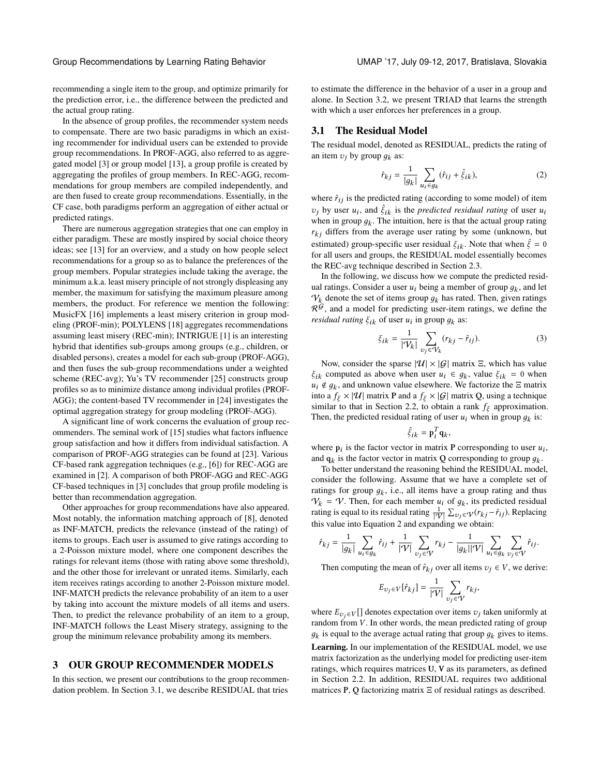Group Recommendations by Learning Rating Behavior UMAP '17, July 09-12, 2017, Bratislava, Slovakia

recommending a single item to the group, and optimize primarily for the prediction error, i.e., the difference between the predicted and the actual group rating.

In the absence of group profiles, the recommender system needs to compensate. There are two basic paradigms in which an existing recommender for individual users can be extended to provide group recommendations. In PROF-AGG, also referred to as aggregated model [\[3\]](#page-8-9) or group model [\[13\]](#page-8-21), a group profile is created by aggregating the profiles of group members. In REC-AGG, recommendations for group members are compiled independently, and are then fused to create group recommendations. Essentially, in the CF case, both paradigms perform an aggregation of either actual or predicted ratings.

There are numerous aggregation strategies that one can employ in either paradigm. These are mostly inspired by social choice theory ideas; see [\[13\]](#page-8-21) for an overview, and a study on how people select recommendations for a group so as to balance the preferences of the group members. Popular strategies include taking the average, the minimum a.k.a. least misery principle of not strongly displeasing any member, the maximum for satisfying the maximum pleasure among members, the product. For reference we mention the following: MusicFX [\[16\]](#page-8-6) implements a least misery criterion in group modeling (PROF-min); POLYLENS [\[18\]](#page-8-7) aggregates recommendations assuming least misery (REC-min); INTRIGUE [\[1\]](#page-8-4) is an interesting hybrid that identifies sub-groups among groups (e.g., children, or disabled persons), creates a model for each sub-group (PROF-AGG), and then fuses the sub-group recommendations under a weighted scheme (REC-avg); Yu's TV recommender [\[25\]](#page-8-8) constructs group profiles so as to minimize distance among individual profiles (PROF-AGG); the content-based TV recommender in [\[24\]](#page-8-16) investigates the optimal aggregation strategy for group modeling (PROF-AGG).

A significant line of work concerns the evaluation of group recommenders. The seminal work of [\[15\]](#page-8-17) studies what factors influence group satisfaction and how it differs from individual satisfaction. A comparison of PROF-AGG strategies can be found at [\[23\]](#page-8-22). Various CF-based rank aggregation techniques (e.g., [\[6\]](#page-8-23)) for REC-AGG are examined in [\[2\]](#page-8-18). A comparison of both PROF-AGG and REC-AGG CF-based techniques in [\[3\]](#page-8-9) concludes that group profile modeling is better than recommendation aggregation.

Other approaches for group recommendations have also appeared. Most notably, the information matching approach of [\[8\]](#page-8-12), denoted as INF-MATCH, predicts the relevance (instead of the rating) of items to groups. Each user is assumed to give ratings according to a 2-Poisson mixture model, where one component describes the ratings for relevant items (those with rating above some threshold), and the other those for irrelevant or unrated items. Similarly, each item receives ratings according to another 2-Poisson mixture model. INF-MATCH predicts the relevance probability of an item to a user by taking into account the mixture models of all items and users. Then, to predict the relevance probability of an item to a group, INF-MATCH follows the Least Misery strategy, assigning to the group the minimum relevance probability among its members.

#### <span id="page-2-0"></span>3 OUR GROUP RECOMMENDER MODELS

In this section, we present our contributions to the group recommendation problem. In Section [3.1,](#page-2-1) we describe RESIDUAL that tries

to estimate the difference in the behavior of a user in a group and alone. In Section [3.2,](#page-3-0) we present TRIAD that learns the strength with which a user enforces her preferences in a group.

#### <span id="page-2-1"></span>3.1 The Residual Model

The residual model, denoted as RESIDUAL, predicts the rating of an item  $v_i$  by group  $q_k$  as:

<span id="page-2-2"></span>
$$
\hat{r}_{kj} = \frac{1}{|g_k|} \sum_{u_i \in g_k} (\hat{r}_{ij} + \hat{\xi}_{ik}),
$$
 (2)

where  $\hat{r}_{ij}$  is the predicted rating (according to some model) of item  $v_j$  by user  $u_i$ , and  $\hat{\xi}_{ik}$  is the *predicted residual rating* of user  $u_i$ <br>when in group  $a_j$ . The intuition here is that the actual group rating when in group  $g_k$ . The intuition, here is that the actual group rating  $r_k$ . differs from the average user rating by some (unknown but  $r_{kj}$  differs from the average user rating by some (unknown, but estimated) group-specific user residual  $\xi_{ik}$ . Note that when  $\hat{\xi} = 0$ for all users and groups, the RESIDUAL model essentially becomes the REC-avg technique described in Section [2.3.](#page-1-3)

In the following, we discuss how we compute the predicted residual ratings. Consider a user  $u_i$  being a member of group  $g_k$ , and let  $u_i$  denote the set of items group  $a_k$  has rated. Then, given ratings  $V_k$  denote the set of items group  $g_k$  has rated. Then, given ratings  $\mathcal{P}^{\mathcal{G}}$  and a model for predicting user item ratings, we define the  $\mathcal{R}^{\mathcal{G}}$ , and a model for predicting user-item ratings, we define the *residual rating*  $\xi_{ik}$  of user  $u_i$  in group  $g_k$  as:

<span id="page-2-3"></span>
$$
\xi_{ik} = \frac{1}{|\mathcal{V}_k|} \sum_{v_j \in \mathcal{V}_k} (r_{kj} - \hat{r}_{ij}).
$$
\n(3)

Now, consider the sparse  $|\mathcal{U}| \times |\mathcal{G}|$  matrix  $\Xi$ , which has value  $\xi_{ik}$  computed as above when user  $u_i \in g_k$ , value  $\xi_{ik} = 0$  when  $u_i \notin g_i$ , and unknown value elsewhere. We factorize the  $\Xi$  matrix  $u_i \notin g_k$ , and unknown value elsewhere. We factorize the  $\Xi$  matrix<br>into a  $f \times |g|$  matrix **P** and a  $f \times |g|$  matrix **O** using a technique into a  $f_{\xi} \times |\mathcal{U}|$  matrix **P** and a  $f_{\xi} \times |\mathcal{G}|$  matrix **Q**, using a technique similar to that in Section [2.2,](#page-1-2) to obtain a rank  $f_{\xi}$  approximation. Then, the predicted residual rating of user  $u_i$  when in group  $g_k$  is:

$$
\hat{\xi}_{ik} = \mathbf{p}_i^T \mathbf{q}_k,
$$

where  $p_i$  is the factor vector in matrix P corresponding to user  $u_i$ ,<br>and  $q_i$  is the factor vector in matrix O corresponding to group  $q_i$ . and  $q_k$  is the factor vector in matrix Q corresponding to group  $g_k$ .<br>To better understand the reasoning behind the RESIDIJAL mode

To better understand the reasoning behind the RESIDUAL model, consider the following. Assume that we have a complete set of ratings for group  $g_k$ , i.e., all items have a group rating and thus  $Q_k - Q$ . Then for each member  $u_k$  of  $g_k$ , its predicted residual  $V_k = V$ . Then, for each member  $u_i$  of  $g_k$ , its predicted residual<br>rating is equal to its residual rating  $\frac{1}{L} \sum_{i=1}^{L} (x_i - \hat{x}_{i+1})$ . Benlacing rating is equal to its residual rating  $\frac{1}{|V|} \sum_{v_j \in V} (r_{kj} - \hat{r}_{ij})$ . Replacing this value into Equation 2 and expanding we obtain: this value into Equation [2](#page-2-2) and expanding we obtain:

$$
\hat{r}_{kj} = \frac{1}{|g_k|} \sum_{u_i \in g_k} \hat{r}_{ij} + \frac{1}{|\mathcal{V}|} \sum_{v_j \in \mathcal{V}} r_{kj} - \frac{1}{|g_k||\mathcal{V}|} \sum_{u_i \in g_k} \sum_{v_j \in \mathcal{V}} \hat{r}_{ij}.
$$

Then computing the mean of  $\hat{r}_{kj}$  over all items  $v_j \in V$ , we derive:

$$
E_{v_j \in V}[\hat{r}_{kj}] = \frac{1}{|\mathcal{V}|} \sum_{v_j \in \mathcal{V}} r_{kj},
$$

where  $E_{v_j \in V}$  [] denotes expectation over items  $v_j$  taken uniformly at random from V. In other words, the mean predicted rating of group random from  $V$ . In other words, the mean predicted rating of group Learning. In our implementation of the RESIDUAL model, we use  $g_k$  is equal to the average actual rating that group  $g_k$  gives to items. matrix factorization as the underlying model for predicting user-item ratings, which requires matrices U, V as its parameters, as defined in Section [2.2.](#page-1-2) In addition, RESIDUAL requires two additional matrices P, Q factorizing matrix  $\Xi$  of residual ratings as described.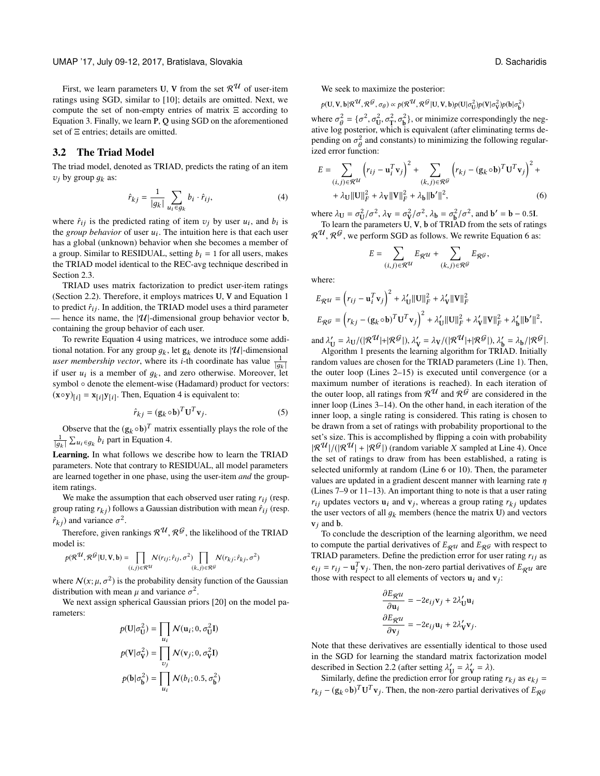First, we learn parameters U, V from the set  $\mathcal{R}^{\mathcal{U}}$  of user-item ratings using SGD, similar to [\[10\]](#page-8-2); details are omitted. Next, we compute the set of non-empty entries of matrix Ξ according to Equation [3.](#page-2-3) Finally, we learn P, Q using SGD on the aforementioned set of Ξ entries; details are omitted.

#### <span id="page-3-0"></span>3.2 The Triad Model

The triad model, denoted as TRIAD, predicts the rating of an item  $v_j$  by group  $g_k$  as:

<span id="page-3-1"></span>
$$
\hat{r}_{kj} = \frac{1}{|g_k|} \sum_{u_i \in g_k} b_i \cdot \hat{r}_{ij},\tag{4}
$$

where  $\hat{r}_{ij}$  is the predicted rating of item  $v_j$  by user  $u_i$ , and  $b_i$  is<br>the *aroun behavior* of user  $u_j$ . The intuition here is that each user the *group behavior* of user  $u_i$ . The intuition here is that each user<br>has a global (unknown) behavior when she becomes a member of has a global (unknown) behavior when she becomes a member of a group. Similar to RESIDUAL, setting  $b_i = 1$  for all users, makes the TRIAD model identical to the REC-avg technique described in Section [2.3.](#page-1-3)

TRIAD uses matrix factorization to predict user-item ratings (Section [2.2\)](#page-1-2). Therefore, it employs matrices U, V and Equation [1](#page-1-4) to predict  $\hat{r}_{ij}$ . In addition, the TRIAD model uses a third parameter — hence its name, the  $|\mathcal{U}|$ -dimensional group behavior vector **b**, containing the group behavior of each user.

To rewrite Equation [4](#page-3-1) using matrices, we introduce some additional notation. For any group  $g_k$ , let  $g_k$  denote its  $|\mathcal{U}|$ -dimensional<br>user membership vector, where its *i*, th coordinate has value  $\frac{1}{\sqrt{2}}$ *user membership vector*, where its *i*-th coordinate has value  $\frac{1}{|q_k|}$ is a membership vector, where its *t*-in coordinate has value  $\frac{g_k}{|g_k|}$ <br>if user  $u_i$  is a member of  $g_k$ , and zero otherwise. Moreover, let<br>symbol o denote the element-wise (Hadamard) product for vectors symbol ∘ denote the element-wise (Hadamard) product for vectors:  $(x \circ y)_{[i]} = x_{[i]}y_{[i]}$ . Then, Equation [4](#page-3-1) is equivalent to:

$$
\hat{r}_{kj} = (\mathbf{g}_k \circ \mathbf{b})^T \mathbf{U}^T \mathbf{v}_j.
$$
 (5)

Observe that the  $(g_k \circ b)^T$  matrix essentially plays the role of the  $S$  $\frac{1}{|g_k|} \sum_{u_i \in g_k} b_i$  part in Equation [4.](#page-3-1)

Learning. In what follows we describe how to learn the TRIAD parameters. Note that contrary to RESIDUAL, all model parameters are learned together in one phase, using the user-item *and* the groupitem ratings.

We make the assumption that each observed user rating  $r_{ij}$  (resp. group rating  $r_{kj}$ ) follows a Gaussian distribution with mean  $\hat{r}_{ij}$  (resp.  $\hat{r}_{kj}$ ) and variance  $\sigma^2$ .<br>Therefore, since  $\sigma$ 

Therefore, given rankings  $\mathcal{R}^{\mathcal{U}}, \mathcal{R}^{\mathcal{G}},$  the likelihood of the TRIAD model is:

$$
p(\mathcal{R}^{\mathcal{U}},\mathcal{R}^{\mathcal{G}}|U,V,b)=\prod_{(i,j)\in\mathcal{R}^{\mathcal{U}}}\mathcal{N}(r_{ij};\hat{r}_{ij},\sigma^2)\prod_{(k,j)\in\mathcal{R}^{\mathcal{G}}}\mathcal{N}(r_{kj};\hat{r}_{kj},\sigma^2)
$$

where  $\mathcal{N}(x; \mu, \sigma^2)$  is the probability density function of the Gaussian distribution with mean u and variance  $\sigma^2$ distribution with mean  $\mu$  and variance  $\sigma^2$ .<br>We next assign spherical Gaussian prior

We next assign spherical Gaussian priors [\[20\]](#page-8-24) on the model parameters:

$$
p(\mathbf{U}|\sigma_{\mathbf{U}}^2) = \prod_{u_i} \mathcal{N}(\mathbf{u}_i; 0, \sigma_{\mathbf{U}}^2 \mathbf{I})
$$

$$
p(\mathbf{V}|\sigma_{\mathbf{V}}^2) = \prod_{v_j} \mathcal{N}(\mathbf{v}_j; 0, \sigma_{\mathbf{V}}^2 \mathbf{I})
$$

$$
p(\mathbf{b}|\sigma_{\mathbf{b}}^2) = \prod_{u_i} \mathcal{N}(b_i; 0.5, \sigma_{\mathbf{b}}^2)
$$

We seek to maximize the posterior:

$$
p(\mathbf{U}, \mathbf{V}, \mathbf{b} | \mathcal{R}^{\mathcal{U}}, \mathcal{R}^{\mathcal{G}}, \sigma_{\theta}) \propto p(\mathcal{R}^{\mathcal{U}}, \mathcal{R}^{\mathcal{G}} | \mathbf{U}, \mathbf{V}, \mathbf{b}) p(\mathbf{U} | \sigma_{\mathbf{U}}^2) p(\mathbf{V} | \sigma_{\mathbf{V}}^2) p(\mathbf{b} | \sigma_{\mathbf{b}}^2)
$$

where  $\sigma_{\theta}^2 = {\sigma^2, \sigma_U^2, \sigma_T^2, \sigma_b^2}$ , or minimize correspondingly the negative log posterior, which is equivalent (ofter eliminating terms de ative log posterior, which is equivalent (after eliminating terms depending on  $\sigma_{\theta}^2$  and constants) to minimizing the following regularized error function:

$$
E = \sum_{(i,j)\in\mathcal{R}^{\mathcal{U}}} \left( r_{ij} - \mathbf{u}_i^T \mathbf{v}_j \right)^2 + \sum_{(k,j)\in\mathcal{R}^{\mathcal{G}}} \left( r_{kj} - (\mathbf{g}_k \circ \mathbf{b})^T \mathbf{U}^T \mathbf{v}_j \right)^2 +
$$
  
+  $\lambda \mathbf{U} \|\mathbf{U}\|_F^2 + \lambda \mathbf{V} \|\mathbf{V}\|_F^2 + \lambda \mathbf{b} \|\mathbf{b}'\|^2,$  (6)

where  $\lambda_U = \sigma_U^2/\sigma^2$ ,  $\lambda_V = \sigma_V^2/\sigma^2$ ,  $\lambda_b = \sigma_b^2/\sigma^2$ , and  $b' = b - 0.5I$ .<br>To learn the parameters U, V, b of TRIAD from the sets of ratings

 $\mathcal{R}^{\mathcal{U}}, \mathcal{R}^{\mathcal{G}},$  we perform SGD as follows. We rewrite Equation [6](#page-3-2) as:

<span id="page-3-2"></span>
$$
E = \sum_{(i,j) \in \mathcal{R}^{\mathcal{U}}} E_{\mathcal{R}^{\mathcal{U}}} + \sum_{(k,j) \in \mathcal{R}^{\mathcal{G}}} E_{\mathcal{R}^{\mathcal{G}}},
$$

where:

$$
E_{\mathcal{R}}u = (r_{ij} - \mathbf{u}_i^T \mathbf{v}_j)^2 + \lambda_U' ||\mathbf{U}||_F^2 + \lambda_V' ||\mathbf{V}||_F^2
$$
  

$$
E_{\mathcal{R}}\mathcal{G} = (r_{kj} - (\mathbf{g}_k \circ \mathbf{b})^T \mathbf{U}^T \mathbf{v}_j)^2 + \lambda_U' ||\mathbf{U}||_F^2 + \lambda_V' ||\mathbf{V}||_F^2 + \lambda_V' ||\mathbf{b}'||^2,
$$

and  $\lambda'_{\mathbf{U}} = \lambda_{\mathbf{U}}/(|\mathcal{R}^{\mathcal{U}}|+|\mathcal{R}^{\mathcal{G}}|), \lambda'_{\mathbf{V}} = \lambda_{\mathbf{V}}/(|\mathcal{R}^{\mathcal{U}}|+|\mathcal{R}^{\mathcal{G}}|), \lambda'_{\mathbf{D}} = \lambda_{\mathbf{D}}/|\mathcal{R}^{\mathcal{G}}|$ .<br>Algorithm 1 presents the learning algorithm for TRIAD, Initially

Algorithm [1](#page-4-1) presents the learning algorithm for TRIAD. Initially random values are chosen for the TRIAD parameters (Line 1). Then, the outer loop (Lines 2–15) is executed until convergence (or a maximum number of iterations is reached). In each iteration of the outer loop, all ratings from  $\mathcal{R}^{\mathcal{U}}$  and  $\mathcal{R}^{\mathcal{G}}$  are considered in the inner loop (Lines 3–14). On the other hand, in each iteration of the inner loop, a single rating is considered. This rating is chosen to be drawn from a set of ratings with probability proportional to the set's size. This is accomplished by flipping a coin with probability  $|\mathcal{R}^{\mathcal{U}}|/(|\mathcal{R}^{\mathcal{U}}| + |\mathcal{R}^{\mathcal{G}}|)$  (random variable X sampled at Line 4). Once the set of ratings to draw from has been established, a rating is selected uniformly at random (Line 6 or 10). Then, the parameter values are updated in a gradient descent manner with learning rate  $\eta$ (Lines 7–9 or 11–13). An important thing to note is that a user rating  $r_{ij}$  updates vectors  $\mathbf{u}_i$  and  $\mathbf{v}_j$ , whereas a group rating  $r_{kj}$  updates the user vectors of all  $a_k$  members (hence the matrix II) and vectors the user vectors of all  $g_k$  members (hence the matrix U) and vectors  $v_j$  and  $b$ .

To conclude the description of the learning algorithm, we need to compute the partial derivatives of  $E_{\mathcal{R}U}$  and  $E_{\mathcal{R}G}$  with respect to TRIAD parameters. Define the prediction error for user rating  $r_{ij}$  as  $e_{ij} = r_{ij} - \mathbf{u}_i^T \mathbf{v}_j$ . Then, the non-zero partial derivatives of  $E_{\mathcal{R}} u$  are those with respect to all elements of vectors using  $\mathbf{v}$ . those with respect to all elements of vectors  $\mathbf{u}_i$  and  $\mathbf{v}_j$ :

$$
\frac{\partial E_{\mathcal{R}} u}{\partial \mathbf{u}_i} = -2e_{ij}\mathbf{v}_j + 2\lambda'_{\mathbf{U}}\mathbf{u}_i
$$

$$
\frac{\partial E_{\mathcal{R}} u}{\partial \mathbf{v}_j} = -2e_{ij}\mathbf{u}_i + 2\lambda'_{\mathbf{V}}\mathbf{v}_j.
$$

Note that these derivatives are essentially identical to those used in the SGD for learning the standard matrix factorization model described in Section [2.2](#page-1-2) (after setting  $\lambda'_U = \lambda'_V = \lambda$ ).<br>Similarly, define the prediction error for group ratio

Similarly, define the prediction error for group rating  $r_{kj}$  as  $e_{kj}$  =  $r_{kj}$  –  $(g_k \circ b)^T U^T v_j$ . Then, the non-zero partial derivatives of  $E_{\mathcal{R}\mathcal{G}}$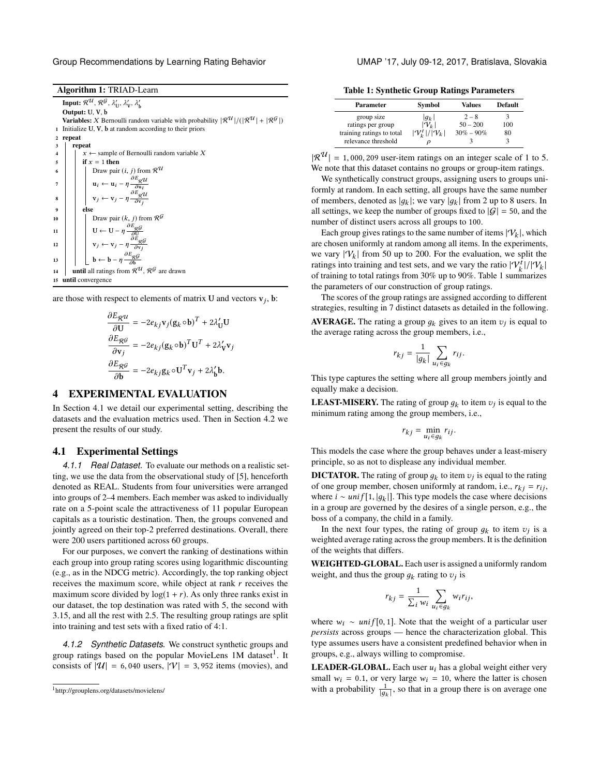Group Recommendations by Learning Rating Behavior UMAP '17, July 09-12, 2017, Bratislava, Slovakia

Algorithm 1: TRIAD-Learn

Input:  $\mathcal{R}^{\mathcal{U}}, \mathcal{R}^{\mathcal{G}}, \lambda'_{\mathrm{U}}, \lambda'_{\mathrm{V}}, \lambda'_{\mathrm{b}}$ Output: U, V, b **Variables:** X Bernoulli random variable with probability  $|\mathcal{R}^{\mathcal{U}}|/(|\mathcal{R}^{\mathcal{U}}| + |\mathcal{R}^{\mathcal{G}}|)$ <sup>1</sup> Initialize U, V, b at random according to their priors 2 repeat  $\begin{array}{c|c}3 & \text{repeat} \\4 & & x \end{array}$ 4  $\begin{array}{c} x \leftarrow$  sample of Bernoulli random variable X<br>5 **if**  $x = 1$  then  $\begin{array}{c|c} 5 \\ 6 \end{array}$  if  $x = 1$  then 6 Draw pair  $(i, j)$  from  $\mathcal{R}$ <br> $\partial E_{\alpha} a_{l}$ Draw pair  $(i, j)$  from  $\mathcal{R}^{\mathcal{U}}$  $\mathbf{u}_i \leftarrow \mathbf{u}_i - \eta \frac{\partial E_{\mathcal{R}} u_i}{\partial \mathbf{u}_i}$  $\mathbf{s}$   $\mathbf{v}_j \leftarrow \mathbf{v}_j - \eta$ ∂E  $\mathcal{R}^{\mathcal{U}}$ ∂vj 9 | else 10 **Draw pair**  $(k, j)$  from  $\mathcal{R}^{\mathcal{G}}$  $11$   $\bigcup$   $U \leftarrow U - \eta$  $\frac{\partial E_{\mathcal{R}}}{\partial \mathcal{G}}$ ∂U<br>∂E 12  $\vert \vert \vert v_j \leftarrow v_j - \eta$ ∂E RG ∂vj RG 13  $\left| \begin{array}{c} \begin{array}{c} \end{array} \begin{array}{c} \end{array} \begin{array}{c} \end{array} \begin{array}{c} \end{array} \begin{array}{c} \end{array} \begin{array}{c} \end{array} \begin{array}{c} \end{array} \begin{array}{c} \end{array} \begin{array}{c} \end{array} \begin{array}{c} \end{array} \begin{array}{c} \end{array} \begin{array}{c} \end{array} \begin{array}{c} \end{array} \begin{array}{c} \end{array} \begin{array}{c} \end{array} \begin{array}{c} \end{array} \begin{array}{c} \end{array} \begin{$ ∂E 15 until convergence

<span id="page-4-1"></span>are those with respect to elements of matrix U and vectors  $v_j$ , b:

$$
\frac{\partial E_{\mathcal{R}} u}{\partial U} = -2e_{kj} \mathbf{v}_j (\mathbf{g}_k \circ \mathbf{b})^T + 2\lambda'_U \mathbf{U}
$$

$$
\frac{\partial E_{\mathcal{R}} g}{\partial \mathbf{v}_j} = -2e_{kj} (\mathbf{g}_k \circ \mathbf{b})^T \mathbf{U}^T + 2\lambda'_V \mathbf{v}_j
$$

$$
\frac{\partial E_{\mathcal{R}} g}{\partial \mathbf{b}} = -2e_{kj} \mathbf{g}_k \circ \mathbf{U}^T \mathbf{v}_j + 2\lambda'_b \mathbf{b}.
$$

# <span id="page-4-0"></span>4 EXPERIMENTAL EVALUATION

In Section [4.1](#page-4-2) we detail our experimental setting, describing the datasets and the evaluation metrics used. Then in Section [4.2](#page-5-0) we present the results of our study.

#### <span id="page-4-2"></span>4.1 Experimental Settings

*4.1.1 Real Dataset.* To evaluate our methods on a realistic setting, we use the data from the observational study of [\[5\]](#page-8-15), henceforth denoted as REAL. Students from four universities were arranged into groups of 2–4 members. Each member was asked to individually rate on a 5-point scale the attractiveness of 11 popular European capitals as a touristic destination. Then, the groups convened and jointly agreed on their top-2 preferred destinations. Overall, there were 200 users partitioned across 60 groups.

For our purposes, we convert the ranking of destinations within each group into group rating scores using logarithmic discounting (e.g., as in the NDCG metric). Accordingly, the top ranking object receives the maximum score, while object at rank r receives the maximum score divided by  $log(1 + r)$ . As only three ranks exist in our dataset, the top destination was rated with 5, the second with 3.15, and all the rest with 2.5. The resulting group ratings are split into training and test sets with a fixed ratio of 4:1.

*4.1.2 Synthetic Datasets.* We construct synthetic groups and group ratings based on the popular MovieLens [1](#page-4-3)M dataset<sup>1</sup>. It consists of  $|\mathcal{U}| = 6,040$  users,  $|\mathcal{V}| = 3,952$  items (movies), and

<span id="page-4-4"></span>

|  |  |  |  | <b>Table 1: Synthetic Group Ratings Parameters</b> |
|--|--|--|--|----------------------------------------------------|
|--|--|--|--|----------------------------------------------------|

| Parameter                 | <b>Symbol</b>                       | Values        | Default |
|---------------------------|-------------------------------------|---------------|---------|
| group size                | $ q_k $                             | $2 - 8$       |         |
| ratings per group         | $ \mathcal{V}_\nu $                 | $50 - 200$    | 100     |
| training ratings to total | $ \mathcal{V}^t_k / \mathcal{V}_k $ | $30\% - 90\%$ | 80      |
| relevance threshold       |                                     |               |         |

 $|\mathcal{R}^{\mathcal{U}}| = 1,000,209$  user-item ratings on an integer scale of 1 to 5. We note that this dataset contains no groups or group-item ratings.

We synthetically construct groups, assigning users to groups uniformly at random. In each setting, all groups have the same number of members, denoted as  $|g_k|$ ; we vary  $|g_k|$  from 2 up to 8 users. In all settings, we keen the number of groups fixed to  $|G| = 50$ , and the all settings, we keep the number of groups fixed to  $|G| = 50$ , and the number of distinct users across all groups to 100.

Each group gives ratings to the same number of items  $|\mathcal{V}_k|$ , which<br>chosen uniformly at random among all items. In the experiments are chosen uniformly at random among all items. In the experiments, we vary  $|V_k|$  from 50 up to 200. For the evaluation, we split the ratios into training and test sets and we vary the ratio  $|V^t|/|V_t|$ ratings into training and test sets, and we vary the ratio  $|\mathcal{V}_k^t|/|\mathcal{V}_k|$ of training to total ratings from 30% up to 90%. Table [1](#page-4-4) summarizes the parameters of our construction of group ratings.

The scores of the group ratings are assigned according to different strategies, resulting in 7 distinct datasets as detailed in the following. **AVERAGE.** The rating a group  $g_k$  gives to an item  $v_j$  is equal to the average rating across the group members i.e. the average rating across the group members, i.e.,

$$
r_{kj} = \frac{1}{|g_k|} \sum_{u_i \in g_k} r_{ij}.
$$

This type captures the setting where all group members jointly and equally make a decision.

**LEAST-MISERY.** The rating of group  $g_k$  to item  $v_j$  is equal to the minimum rating among the group members i.e. minimum rating among the group members, i.e.,

$$
r_{kj} = \min_{u_i \in g_k} r_{ij}.
$$

This models the case where the group behaves under a least-misery principle, so as not to displease any individual member.

**DICTATOR.** The rating of group  $g_k$  to item  $v_j$  is equal to the rating of one group member chosen uniformly at random i.e.  $r_{k+1} = r_{k+1}$ of one group member, chosen uniformly at random, i.e.,  $r_{ki} = r_{ij}$ , where  $i \sim unif[1, |g_k|]$ . This type models the case where decisions in a group are governed by the decires of a single person e.g. the in a group are governed by the desires of a single person, e.g., the boss of a company, the child in a family.

In the next four types, the rating of group  $g_k$  to item  $v_j$  is a inhted average rating across the group members. It is the definition weighted average rating across the group members. It is the definition of the weights that differs.

WEIGHTED-GLOBAL. Each user is assigned a uniformly random weight, and thus the group  $g_k$  rating to  $v_j$  is

$$
r_{kj} = \frac{1}{\sum_i w_i} \sum_{u_i \in g_k} w_i r_{ij},
$$

where  $w_i \sim unif[0, 1]$ . Note that the weight of a particular user *persists* across groups — hence the characterization global. This type assumes users have a consistent predefined behavior when in groups, e.g., always willing to compromise.

**LEADER-GLOBAL.** Each user  $u_i$  has a global weight either very small  $w_i = 0.1$ , or very large  $w_i = 10$ , where the latter is chosen with a probability  $\frac{1}{|g_k|}$ , so that in a group there is on average one

<span id="page-4-3"></span><sup>1</sup> http://grouplens.org/datasets/movielens/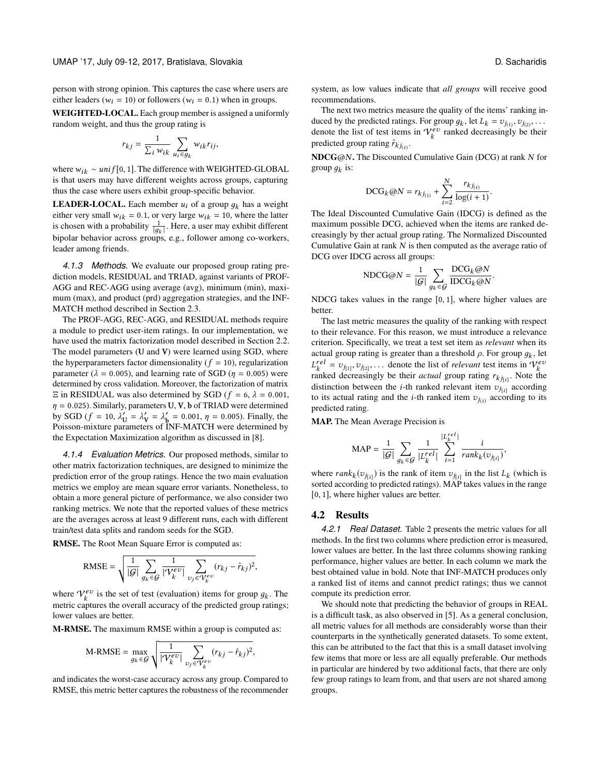person with strong opinion. This captures the case where users are either leaders ( $w_i = 10$ ) or followers ( $w_i = 0.1$ ) when in groups.

WEIGHTED-LOCAL. Each group member is assigned a uniformly random weight, and thus the group rating is

$$
r_{kj} = \frac{1}{\sum_i w_{ik}} \sum_{u_i \in g_k} w_{ik} r_{ij},
$$

where  $w_{ik} \sim unif[0, 1]$ . The difference with WEIGHTED-GLOBAL is that users may have different weights across groups, capturing thus the case where users exhibit group-specific behavior.

**LEADER-LOCAL.** Each member  $u_i$  of a group  $g_k$  has a weight either very small  $w_{ik} = 0.1$ , or very large  $w_{ik} = 10$ , where the latter is chosen with a probability  $\frac{1}{|a_1|}$ . Here, a user may exhibit different  $\frac{d}{d\kappa}$  bipolar behavior across groups, e.g., follower among co-workers, leader among friends.

*4.1.3 Methods.* We evaluate our proposed group rating prediction models, RESIDUAL and TRIAD, against variants of PROF-AGG and REC-AGG using average (avg), minimum (min), maximum (max), and product (prd) aggregation strategies, and the INF-MATCH method described in Section [2.3.](#page-1-3)

The PROF-AGG, REC-AGG, and RESIDUAL methods require a module to predict user-item ratings. In our implementation, we have used the matrix factorization model described in Section [2.2.](#page-1-2) The model parameters (U and V) were learned using SGD, where the hyperparameters factor dimensionality ( $f = 10$ ), regularization parameter ( $\lambda = 0.005$ ), and learning rate of SGD ( $\eta = 0.005$ ) were determined by cross validation. Moreover, the factorization of matrix  $\Xi$  in RESIDUAL was also determined by SGD ( $f = 6$ ,  $\lambda = 0.001$ ,  $\eta = 0.025$ ). Similarly, parameters U, V, b of TRIAD were determined by SGD  $(f = 10, \lambda_U^{\prime} = \lambda_V^{\prime} = \lambda_b^{\prime} = 0.001, \eta = 0.005)$ . Finally, the Poisson mixture parameters of INE MATCH were determined by Poisson-mixture parameters of INF-MATCH were determined by the Expectation Maximization algorithm as discussed in [\[8\]](#page-8-12).

*4.1.4 Evaluation Metrics.* Our proposed methods, similar to other matrix factorization techniques, are designed to minimize the prediction error of the group ratings. Hence the two main evaluation metrics we employ are mean square error variants. Nonetheless, to obtain a more general picture of performance, we also consider two ranking metrics. We note that the reported values of these metrics are the averages across at least 9 different runs, each with different train/test data splits and random seeds for the SGD.

RMSE. The Root Mean Square Error is computed as:

RMSE = 
$$
\sqrt{\frac{1}{|\mathcal{G}|} \sum_{g_k \in \mathcal{G}} \frac{1}{|\mathcal{V}_k^{ev}|} \sum_{v_j \in \mathcal{V}_k^{ev}} (r_{kj} - \hat{r}_{kj})^2},
$$

where  $V_k^{ev}$  is the set of test (evaluation) items for group  $g_k$ . The metric cantures the overall accuracy of the predicted group ratings: metric captures the overall accuracy of the predicted group ratings; lower values are better.

M-RMSE. The maximum RMSE within a group is computed as:

$$
\text{M-RMSE} = \max_{g_k \in \mathcal{G}} \sqrt{\frac{1}{|\mathcal{V}_k^{ev}|} \sum_{v_j \in \mathcal{V}_k^{ev}} (r_{kj} - \hat{r}_{kj})^2},
$$

and indicates the worst-case accuracy across any group. Compared to RMSE, this metric better captures the robustness of the recommender

system, as low values indicate that *all groups* will receive good recommendations.

The next two metrics measure the quality of the items' ranking induced by the predicted ratings. For group  $g_k$ , let  $L_k = v_{j_{(1)}}$ <br>denote the list of test items in  $V^{ev}$  ranked decreasingly denote the list of test items in  $V_k^{ev}$  ranked decreasingly be their predicted group rating  $\hat{r}_{kj(i)}$ .

NDCG@N. The Discounted Cumulative Gain (DCG) at rank N for group  $g_k$  is:

$$
DCGk@N = rkj(1) + \sum_{i=2}^{N} \frac{rkj(i)}{\log(i + 1)}.
$$

The Ideal Discounted Cumulative Gain (IDCG) is defined as the maximum possible DCG, achieved when the items are ranked decreasingly by ther actual group rating. The Normalized Discounted Cumulative Gain at rank  $N$  is then computed as the average ratio of DCG over IDCG across all groups:

$$
NDCG@N = \frac{1}{|\mathcal{G}|} \sum_{g_k \in \mathcal{G}} \frac{DCG_k@N}{IDCG_k@N}
$$

NDCG takes values in the range [0, <sup>1</sup>], where higher values are better.

The last metric measures the quality of the ranking with respect to their relevance. For this reason, we must introduce a relevance criterion. Specifically, we treat a test set item as *relevant* when its actual group rating is greater than a threshold  $\rho$ . For group  $g_k$ , let  $Irel = \eta_k$ ,  $\eta_k$  denote the list of relevant test items in  $V^{ev}$  $k$  decreasingly be their *actual* group rating  $r_{k,j_{[i]}}$ . Note the<br>distinction between the *i*-th ranked relevant item *z*<sub>1</sub>: according  $\frac{rel}{k} = v_{j_{[1]}}, v_{j_{[2]}}, \dots$  denote the list of *relevant* test items in  $V_k^{ev}$ <br>and decreasingly be their *actual* group rating  $r_i$ . Note the distinction between the *i*-th ranked relevant item  $v_{j_{[i]}}$  according to its<br>to its actual rating and the *i*-th ranked item  $v_{i}$  according to its to its actual rating and the *i*-th ranked item  $v_{j(i)}$  according to its predicted rating predicted rating.

MAP. The Mean Average Precision is

$$
\text{MAP} = \frac{1}{|\mathcal{G}|} \sum_{g_k \in \mathcal{G}} \frac{1}{|L_k^{rel}|} \sum_{i=1}^{|L_k^{rel}|} \frac{i}{\text{rank}_k(v_{j_{[i]}})},
$$

 $y_k \in \mathcal{G} \downharpoonright L_k + i=1$  *callented if the rank*  $(v_{j[i]})$ <br>where  $rank_k(v_{j[i]})$  is the rank of item  $v_{j[i]}$  in the list  $L_k$  (which is<br>sorted according to predicted ratings)  $M\Delta p$  takes values in the range sorted according to predicted ratings). MAP takes values in the range [0, 1], where higher values are better.

# <span id="page-5-0"></span>4.2 Results

*4.2.1 Real Dataset.* Table [2](#page-6-0) presents the metric values for all methods. In the first two columns where prediction error is measured, lower values are better. In the last three columns showing ranking performance, higher values are better. In each column we mark the best obtained value in bold. Note that INF-MATCH produces only a ranked list of items and cannot predict ratings; thus we cannot compute its prediction error.

We should note that predicting the behavior of groups in REAL is a difficult task, as also observed in [\[5\]](#page-8-15). As a general conclusion, all metric values for all methods are considerably worse than their counterparts in the synthetically generated datasets. To some extent, this can be attributed to the fact that this is a small dataset involving few items that more or less are all equally preferable. Our methods in particular are hindered by two additional facts, that there are only few group ratings to learn from, and that users are not shared among groups.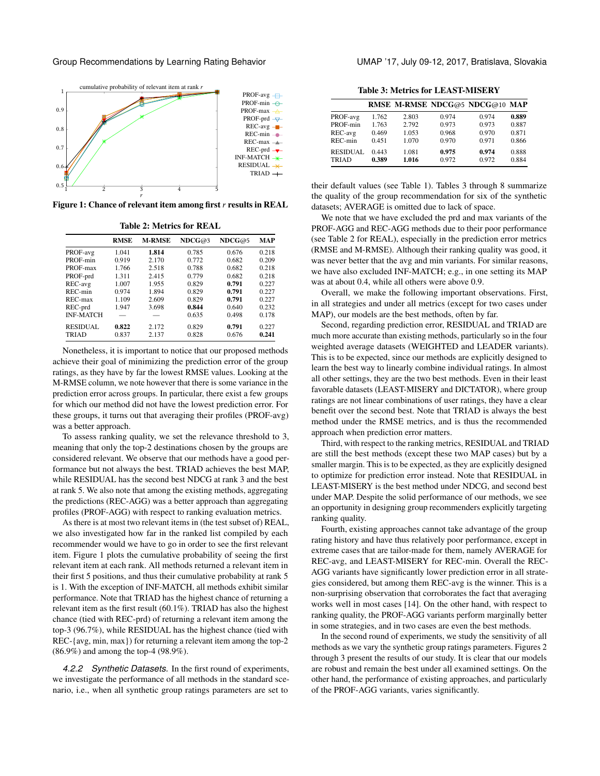<span id="page-6-1"></span>

<span id="page-6-0"></span>Figure 1: Chance of relevant item among first  $r$  results in REAL

|                  | <b>RMSE</b> | <b>M-RMSE</b> | NDCG@3 | NDCG@5 | MAP   |
|------------------|-------------|---------------|--------|--------|-------|
| PROF-avg         | 1.041       | 1.814         | 0.785  | 0.676  | 0.218 |
| PROF-min         | 0.919       | 2.170         | 0.772  | 0.682  | 0.209 |
| PROF-max         | 1.766       | 2.518         | 0.788  | 0.682  | 0.218 |
| PROF-prd         | 1.311       | 2.415         | 0.779  | 0.682  | 0.218 |
| REC-avg          | 1.007       | 1.955         | 0.829  | 0.791  | 0.227 |
| REC-min          | 0.974       | 1.894         | 0.829  | 0.791  | 0.227 |
| REC-max          | 1.109       | 2.609         | 0.829  | 0.791  | 0.227 |
| REC-prd          | 1.947       | 3.698         | 0.844  | 0.640  | 0.232 |
| <b>INF-MATCH</b> |             |               | 0.635  | 0.498  | 0.178 |
| <b>RESIDUAL</b>  | 0.822       | 2.172         | 0.829  | 0.791  | 0.227 |
| <b>TRIAD</b>     | 0.837       | 2.137         | 0.828  | 0.676  | 0.241 |

Table 2: Metrics for REAL

Nonetheless, it is important to notice that our proposed methods achieve their goal of minimizing the prediction error of the group ratings, as they have by far the lowest RMSE values. Looking at the M-RMSE column, we note however that there is some variance in the prediction error across groups. In particular, there exist a few groups for which our method did not have the lowest prediction error. For these groups, it turns out that averaging their profiles (PROF-avg) was a better approach.

To assess ranking quality, we set the relevance threshold to 3, meaning that only the top-2 destinations chosen by the groups are considered relevant. We observe that our methods have a good performance but not always the best. TRIAD achieves the best MAP, while RESIDUAL has the second best NDCG at rank 3 and the best at rank 5. We also note that among the existing methods, aggregating the predictions (REC-AGG) was a better approach than aggregating profiles (PROF-AGG) with respect to ranking evaluation metrics.

As there is at most two relevant items in (the test subset of) REAL, we also investigated how far in the ranked list compiled by each recommender would we have to go in order to see the first relevant item. Figure [1](#page-6-1) plots the cumulative probability of seeing the first relevant item at each rank. All methods returned a relevant item in their first 5 positions, and thus their cumulative probability at rank 5 is 1. With the exception of INF-MATCH, all methods exhibit similar performance. Note that TRIAD has the highest chance of returning a relevant item as the first result (60.1%). TRIAD has also the highest chance (tied with REC-prd) of returning a relevant item among the top-3 (96.7%), while RESIDUAL has the highest chance (tied with REC-{avg, min, max}) for returning a relevant item among the top-2 (86.9%) and among the top-4 (98.9%).

*4.2.2 Synthetic Datasets.* In the first round of experiments, we investigate the performance of all methods in the standard scenario, i.e., when all synthetic group ratings parameters are set to

Table 3: Metrics for LEAST-MISERY

<span id="page-6-2"></span>

|              |       |       |       | RMSE M-RMSE NDCG@5 NDCG@10 MAP |       |
|--------------|-------|-------|-------|--------------------------------|-------|
| PROF-avg     | 1.762 | 2.803 | 0.974 | 0.974                          | 0.889 |
| PROF-min     | 1.763 | 2.792 | 0.973 | 0.973                          | 0.887 |
| REC-avg      | 0.469 | 1.053 | 0.968 | 0.970                          | 0.871 |
| REC-min      | 0.451 | 1.070 | 0.970 | 0.971                          | 0.866 |
| RESIDUAL     | 0.443 | 1.081 | 0.975 | 0.974                          | 0.888 |
| <b>TRIAD</b> | 0.389 | 1.016 | 0.972 | 0.972                          | 0.884 |

their default values (see Table [1\)](#page-4-4). Tables [3](#page-6-2) through [8](#page-7-1) summarize the quality of the group recommendation for six of the synthetic datasets; AVERAGE is omitted due to lack of space.

We note that we have excluded the prd and max variants of the PROF-AGG and REC-AGG methods due to their poor performance (see Table [2](#page-6-0) for REAL), especially in the prediction error metrics (RMSE and M-RMSE). Although their ranking quality was good, it was never better that the avg and min variants. For similar reasons, we have also excluded INF-MATCH; e.g., in one setting its MAP was at about 0.4, while all others were above 0.9.

Overall, we make the following important observations. First, in all strategies and under all metrics (except for two cases under MAP), our models are the best methods, often by far.

Second, regarding prediction error, RESIDUAL and TRIAD are much more accurate than existing methods, particularly so in the four weighted average datasets (WEIGHTED and LEADER variants). This is to be expected, since our methods are explicitly designed to learn the best way to linearly combine individual ratings. In almost all other settings, they are the two best methods. Even in their least favorable datasets (LEAST-MISERY and DICTATOR), where group ratings are not linear combinations of user ratings, they have a clear benefit over the second best. Note that TRIAD is always the best method under the RMSE metrics, and is thus the recommended approach when prediction error matters.

Third, with respect to the ranking metrics, RESIDUAL and TRIAD are still the best methods (except these two MAP cases) but by a smaller margin. This is to be expected, as they are explicitly designed to optimize for prediction error instead. Note that RESIDUAL in LEAST-MISERY is the best method under NDCG, and second best under MAP. Despite the solid performance of our methods, we see an opportunity in designing group recommenders explicitly targeting ranking quality.

Fourth, existing approaches cannot take advantage of the group rating history and have thus relatively poor performance, except in extreme cases that are tailor-made for them, namely AVERAGE for REC-avg, and LEAST-MISERY for REC-min. Overall the REC-AGG variants have significantly lower prediction error in all strategies considered, but among them REC-avg is the winner. This is a non-surprising observation that corroborates the fact that averaging works well in most cases [\[14\]](#page-8-19). On the other hand, with respect to ranking quality, the PROF-AGG variants perform marginally better in some strategies, and in two cases are even the best methods.

In the second round of experiments, we study the sensitivity of all methods as we vary the synthetic group ratings parameters. Figures [2](#page-7-2) through [3](#page-7-3) present the results of our study. It is clear that our models are robust and remain the best under all examined settings. On the other hand, the performance of existing approaches, and particularly of the PROF-AGG variants, varies significantly.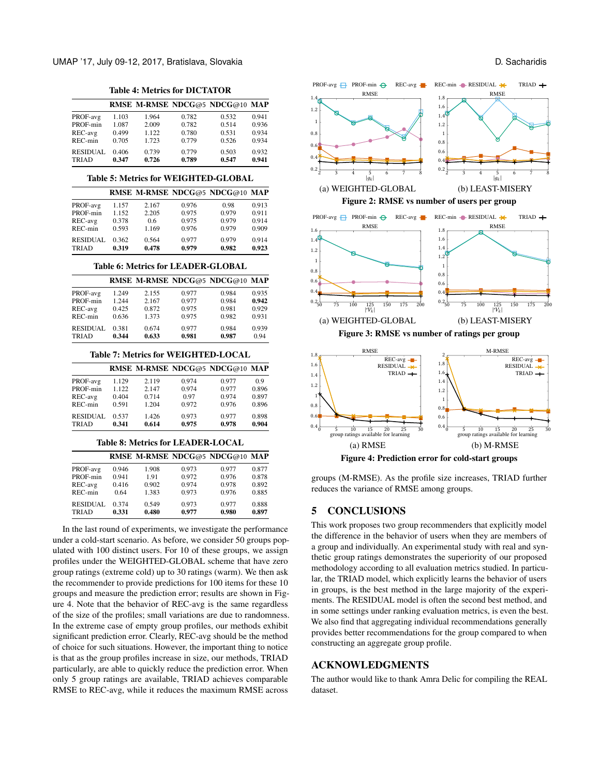|  |  | <b>Table 4: Metrics for DICTATOR</b> |
|--|--|--------------------------------------|
|--|--|--------------------------------------|

|                 |       |       |       | RMSE M-RMSE NDCG@5 NDCG@10 MAP |       |
|-----------------|-------|-------|-------|--------------------------------|-------|
| PROF-avg        | 1.103 | 1.964 | 0.782 | 0.532                          | 0.941 |
| PROF-min        | 1.087 | 2.009 | 0.782 | 0.514                          | 0.936 |
| REC-avg         | 0.499 | 1.122 | 0.780 | 0.531                          | 0.934 |
| REC-min         | 0.705 | 1.723 | 0.779 | 0.526                          | 0.934 |
| <b>RESIDUAL</b> | 0.406 | 0.739 | 0.779 | 0.503                          | 0.932 |
| <b>TRIAD</b>    | 0.347 | 0.726 | 0.789 | 0.547                          | 0.941 |

#### Table 5: Metrics for WEIGHTED-GLOBAL

|              |       |       |       | RMSE M-RMSE NDCG@5 NDCG@10 MAP |       |
|--------------|-------|-------|-------|--------------------------------|-------|
| PROF-avg     | 1.157 | 2.167 | 0.976 | 0.98                           | 0.913 |
| PROF-min     | 1.152 | 2.205 | 0.975 | 0.979                          | 0.911 |
| REC-avg      | 0.378 | 0.6   | 0.975 | 0.979                          | 0.914 |
| REC-min      | 0.593 | 1.169 | 0.976 | 0.979                          | 0.909 |
| RESIDUAL     | 0.362 | 0.564 | 0.977 | 0.979                          | 0.914 |
| <b>TRIAD</b> | 0.319 | 0.478 | 0.979 | 0.982                          | 0.923 |

#### Table 6: Metrics for LEADER-GLOBAL

|                 |       |       |       | RMSE M-RMSE NDCG@5 NDCG@10 MAP |       |
|-----------------|-------|-------|-------|--------------------------------|-------|
| PROF-avg        | 1.249 | 2.155 | 0.977 | 0.984                          | 0.935 |
| PROF-min        | 1.244 | 2.167 | 0.977 | 0.984                          | 0.942 |
| REC-avg         | 0.425 | 0.872 | 0.975 | 0.981                          | 0.929 |
| REC-min         | 0.636 | 1.373 | 0.975 | 0.982                          | 0.931 |
| <b>RESIDUAL</b> | 0.381 | 0.674 | 0.977 | 0.984                          | 0.939 |
| TRIAD           | 0.344 | 0.633 | 0.981 | 0.987                          | 0.94  |

#### Table 7: Metrics for WEIGHTED-LOCAL

|          |       |       |       | RMSE M-RMSE NDCG@5 NDCG@10 MAP |       |
|----------|-------|-------|-------|--------------------------------|-------|
| PROF-avg | 1.129 | 2.119 | 0.974 | 0.977                          | 0.9   |
| PROF-min | 1.122 | 2.147 | 0.974 | 0.977                          | 0.896 |
| REC-avg  | 0.404 | 0.714 | 0.97  | 0.974                          | 0.897 |
| REC-min  | 0.591 | 1.204 | 0.972 | 0.976                          | 0.896 |
| RESIDUAL | 0.537 | 1.426 | 0.973 | 0.977                          | 0.898 |
| TRIAD    | 0.341 | 0.614 | 0.975 | 0.978                          | 0.904 |

#### Table 8: Metrics for LEADER-LOCAL

<span id="page-7-1"></span>

|          |       |       |       | RMSE M-RMSE NDCG@5 NDCG@10 MAP |       |
|----------|-------|-------|-------|--------------------------------|-------|
| PROF-avg | 0.946 | 1.908 | 0.973 | 0.977                          | 0.877 |
| PROF-min | 0.941 | 1.91  | 0.972 | 0.976                          | 0.878 |
| REC-avg  | 0.416 | 0.902 | 0.974 | 0.978                          | 0.892 |
| REC-min  | 0.64  | 1.383 | 0.973 | 0.976                          | 0.885 |
| RESIDUAL | 0.374 | 0.549 | 0.973 | 0.977                          | 0.888 |
| TRIAD    | 0.331 | 0.480 | 0.977 | 0.980                          | 0.897 |

In the last round of experiments, we investigate the performance under a cold-start scenario. As before, we consider 50 groups populated with 100 distinct users. For 10 of these groups, we assign profiles under the WEIGHTED-GLOBAL scheme that have zero group ratings (extreme cold) up to 30 ratings (warm). We then ask the recommender to provide predictions for 100 items for these 10 groups and measure the prediction error; results are shown in Figure [4.](#page-7-4) Note that the behavior of REC-avg is the same regardless of the size of the profiles; small variations are due to randomness. In the extreme case of empty group profiles, our methods exhibit significant prediction error. Clearly, REC-avg should be the method of choice for such situations. However, the important thing to notice is that as the group profiles increase in size, our methods, TRIAD particularly, are able to quickly reduce the prediction error. When only 5 group ratings are available, TRIAD achieves comparable RMSE to REC-avg, while it reduces the maximum RMSE across





Figure 4: Prediction error for cold-start groups

groups (M-RMSE). As the profile size increases, TRIAD further reduces the variance of RMSE among groups.

## <span id="page-7-0"></span>5 CONCLUSIONS

0.2

0.2  $\Omega$  $0.6$ 0.8

<span id="page-7-4"></span>1.4

<span id="page-7-3"></span>1.2

0.6 0.8

<span id="page-7-2"></span>1.2

This work proposes two group recommenders that explicitly model the difference in the behavior of users when they are members of a group and individually. An experimental study with real and synthetic group ratings demonstrates the superiority of our proposed methodology according to all evaluation metrics studied. In particular, the TRIAD model, which explicitly learns the behavior of users in groups, is the best method in the large majority of the experiments. The RESIDUAL model is often the second best method, and in some settings under ranking evaluation metrics, is even the best. We also find that aggregating individual recommendations generally provides better recommendations for the group compared to when constructing an aggregate group profile.

# ACKNOWLEDGMENTS

The author would like to thank Amra Delic for compiling the REAL dataset.